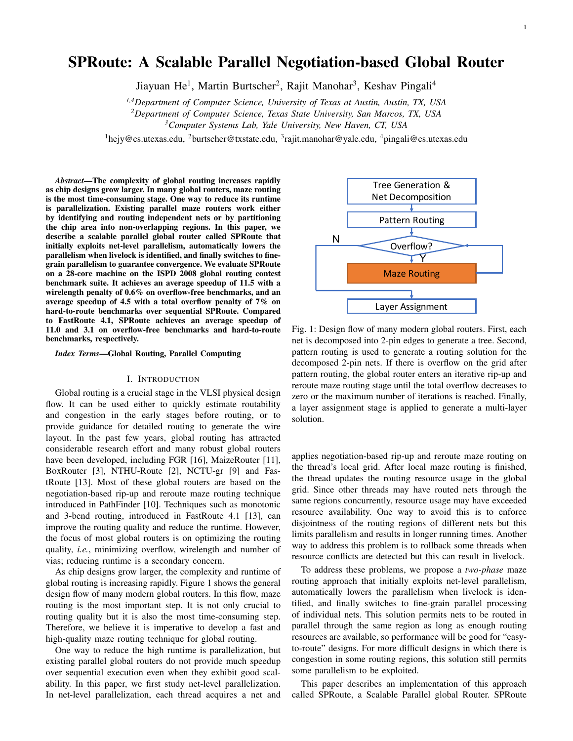# SPRoute: A Scalable Parallel Negotiation-based Global Router

Jiayuan He<sup>1</sup>, Martin Burtscher<sup>2</sup>, Rajit Manohar<sup>3</sup>, Keshav Pingali<sup>4</sup>

*1,4Department of Computer Science, University of Texas at Austin, Austin, TX, USA*

*<sup>2</sup>Department of Computer Science, Texas State University, San Marcos, TX, USA*

*<sup>3</sup>Computer Systems Lab, Yale University, New Haven, CT, USA*

<sup>1</sup>hejy@cs.utexas.edu, <sup>2</sup>burtscher@txstate.edu, <sup>3</sup>rajit.manohar@yale.edu, <sup>4</sup>pingali@cs.utexas.edu

*Abstract*—The complexity of global routing increases rapidly as chip designs grow larger. In many global routers, maze routing is the most time-consuming stage. One way to reduce its runtime is parallelization. Existing parallel maze routers work either by identifying and routing independent nets or by partitioning the chip area into non-overlapping regions. In this paper, we describe a scalable parallel global router called SPRoute that initially exploits net-level parallelism, automatically lowers the parallelism when livelock is identified, and finally switches to finegrain parallelism to guarantee convergence. We evaluate SPRoute on a 28-core machine on the ISPD 2008 global routing contest benchmark suite. It achieves an average speedup of 11.5 with a wirelength penalty of 0.6% on overflow-free benchmarks, and an average speedup of 4.5 with a total overflow penalty of 7% on hard-to-route benchmarks over sequential SPRoute. Compared to FastRoute 4.1, SPRoute achieves an average speedup of 11.0 and 3.1 on overflow-free benchmarks and hard-to-route benchmarks, respectively.

*Index Terms*—Global Routing, Parallel Computing

#### I. INTRODUCTION

Global routing is a crucial stage in the VLSI physical design flow. It can be used either to quickly estimate routability and congestion in the early stages before routing, or to provide guidance for detailed routing to generate the wire layout. In the past few years, global routing has attracted considerable research effort and many robust global routers have been developed, including FGR [16], MaizeRouter [11], BoxRouter [3], NTHU-Route [2], NCTU-gr [9] and FastRoute [13]. Most of these global routers are based on the negotiation-based rip-up and reroute maze routing technique introduced in PathFinder [10]. Techniques such as monotonic and 3-bend routing, introduced in FastRoute 4.1 [13], can improve the routing quality and reduce the runtime. However, the focus of most global routers is on optimizing the routing quality, *i.e.*, minimizing overflow, wirelength and number of vias; reducing runtime is a secondary concern.

As chip designs grow larger, the complexity and runtime of global routing is increasing rapidly. Figure 1 shows the general design flow of many modern global routers. In this flow, maze routing is the most important step. It is not only crucial to routing quality but it is also the most time-consuming step. Therefore, we believe it is imperative to develop a fast and high-quality maze routing technique for global routing.

One way to reduce the high runtime is parallelization, but existing parallel global routers do not provide much speedup over sequential execution even when they exhibit good scalability. In this paper, we first study net-level parallelization. In net-level parallelization, each thread acquires a net and



Fig. 1: Design flow of many modern global routers. First, each net is decomposed into 2-pin edges to generate a tree. Second, pattern routing is used to generate a routing solution for the decomposed 2-pin nets. If there is overflow on the grid after pattern routing, the global router enters an iterative rip-up and reroute maze routing stage until the total overflow decreases to zero or the maximum number of iterations is reached. Finally, a layer assignment stage is applied to generate a multi-layer solution.

applies negotiation-based rip-up and reroute maze routing on the thread's local grid. After local maze routing is finished, the thread updates the routing resource usage in the global grid. Since other threads may have routed nets through the same regions concurrently, resource usage may have exceeded resource availability. One way to avoid this is to enforce disjointness of the routing regions of different nets but this limits parallelism and results in longer running times. Another way to address this problem is to rollback some threads when resource conflicts are detected but this can result in livelock.

To address these problems, we propose a *two-phase* maze routing approach that initially exploits net-level parallelism, automatically lowers the parallelism when livelock is identified, and finally switches to fine-grain parallel processing of individual nets. This solution permits nets to be routed in parallel through the same region as long as enough routing resources are available, so performance will be good for "easyto-route" designs. For more difficult designs in which there is congestion in some routing regions, this solution still permits some parallelism to be exploited.

This paper describes an implementation of this approach called SPRoute, a Scalable Parallel global Router. SPRoute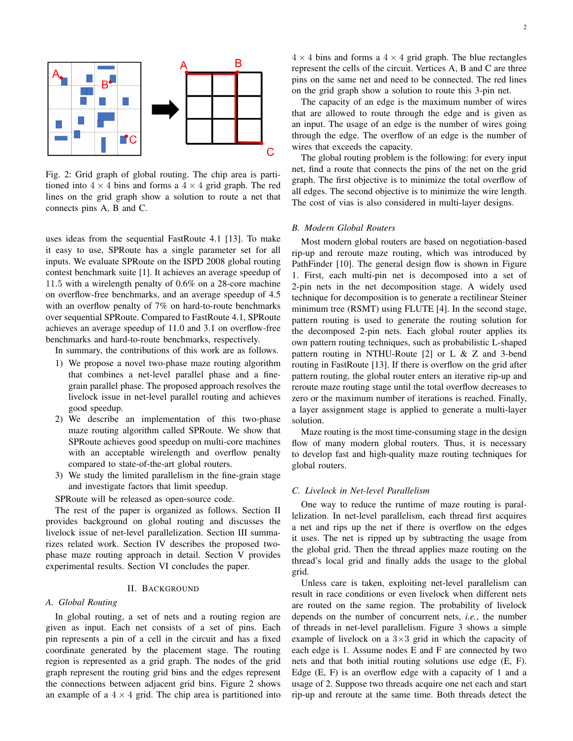

Fig. 2: Grid graph of global routing. The chip area is partitioned into  $4 \times 4$  bins and forms a  $4 \times 4$  grid graph. The red lines on the grid graph show a solution to route a net that connects pins A, B and C.

uses ideas from the sequential FastRoute 4.1 [13]. To make it easy to use, SPRoute has a single parameter set for all inputs. We evaluate SPRoute on the ISPD 2008 global routing contest benchmark suite [1]. It achieves an average speedup of 11.5 with a wirelength penalty of 0.6% on a 28-core machine on overflow-free benchmarks, and an average speedup of 4.5 with an overflow penalty of 7% on hard-to-route benchmarks over sequential SPRoute. Compared to FastRoute 4.1, SPRoute achieves an average speedup of 11.0 and 3.1 on overflow-free benchmarks and hard-to-route benchmarks, respectively.

In summary, the contributions of this work are as follows.

- 1) We propose a novel two-phase maze routing algorithm that combines a net-level parallel phase and a finegrain parallel phase. The proposed approach resolves the livelock issue in net-level parallel routing and achieves good speedup.
- 2) We describe an implementation of this two-phase maze routing algorithm called SPRoute. We show that SPRoute achieves good speedup on multi-core machines with an acceptable wirelength and overflow penalty compared to state-of-the-art global routers.
- 3) We study the limited parallelism in the fine-grain stage and investigate factors that limit speedup.

SPRoute will be released as open-source code.

The rest of the paper is organized as follows. Section II provides background on global routing and discusses the livelock issue of net-level parallelization. Section III summarizes related work. Section IV describes the proposed twophase maze routing approach in detail. Section V provides experimental results. Section VI concludes the paper.

# II. BACKGROUND

## *A. Global Routing*

In global routing, a set of nets and a routing region are given as input. Each net consists of a set of pins. Each pin represents a pin of a cell in the circuit and has a fixed coordinate generated by the placement stage. The routing region is represented as a grid graph. The nodes of the grid graph represent the routing grid bins and the edges represent the connections between adjacent grid bins. Figure 2 shows an example of a  $4 \times 4$  grid. The chip area is partitioned into  $4 \times 4$  bins and forms a  $4 \times 4$  grid graph. The blue rectangles represent the cells of the circuit. Vertices A, B and C are three pins on the same net and need to be connected. The red lines on the grid graph show a solution to route this 3-pin net.

The capacity of an edge is the maximum number of wires that are allowed to route through the edge and is given as an input. The usage of an edge is the number of wires going through the edge. The overflow of an edge is the number of wires that exceeds the capacity.

The global routing problem is the following: for every input net, find a route that connects the pins of the net on the grid graph. The first objective is to minimize the total overflow of all edges. The second objective is to minimize the wire length. The cost of vias is also considered in multi-layer designs.

### *B. Modern Global Routers*

Most modern global routers are based on negotiation-based rip-up and reroute maze routing, which was introduced by PathFinder [10]. The general design flow is shown in Figure 1. First, each multi-pin net is decomposed into a set of 2-pin nets in the net decomposition stage. A widely used technique for decomposition is to generate a rectilinear Steiner minimum tree (RSMT) using FLUTE [4]. In the second stage, pattern routing is used to generate the routing solution for the decomposed 2-pin nets. Each global router applies its own pattern routing techniques, such as probabilistic L-shaped pattern routing in NTHU-Route [2] or L & Z and 3-bend routing in FastRoute [13]. If there is overflow on the grid after pattern routing, the global router enters an iterative rip-up and reroute maze routing stage until the total overflow decreases to zero or the maximum number of iterations is reached. Finally, a layer assignment stage is applied to generate a multi-layer solution.

Maze routing is the most time-consuming stage in the design flow of many modern global routers. Thus, it is necessary to develop fast and high-quality maze routing techniques for global routers.

#### *C. Livelock in Net-level Parallelism*

One way to reduce the runtime of maze routing is parallelization. In net-level parallelism, each thread first acquires a net and rips up the net if there is overflow on the edges it uses. The net is ripped up by subtracting the usage from the global grid. Then the thread applies maze routing on the thread's local grid and finally adds the usage to the global grid.

Unless care is taken, exploiting net-level parallelism can result in race conditions or even livelock when different nets are routed on the same region. The probability of livelock depends on the number of concurrent nets, *i.e.*, the number of threads in net-level parallelism. Figure 3 shows a simple example of livelock on a  $3\times3$  grid in which the capacity of each edge is 1. Assume nodes E and F are connected by two nets and that both initial routing solutions use edge (E, F). Edge (E, F) is an overflow edge with a capacity of 1 and a usage of 2. Suppose two threads acquire one net each and start rip-up and reroute at the same time. Both threads detect the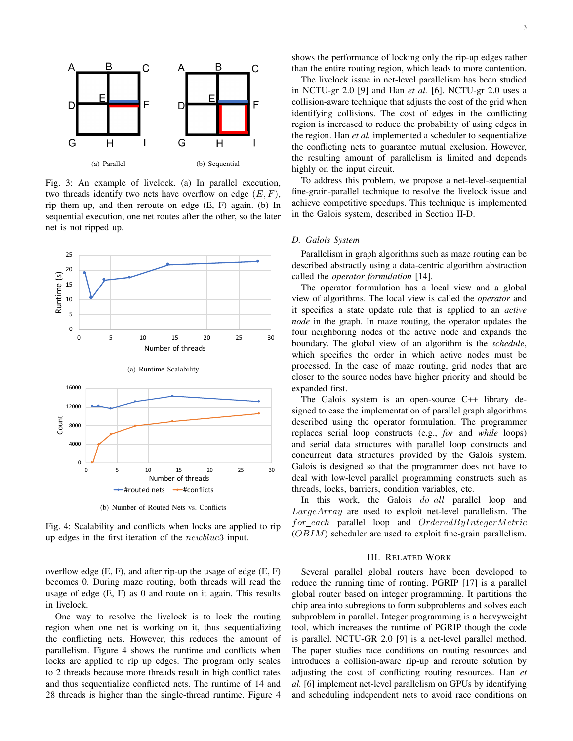

Fig. 3: An example of livelock. (a) In parallel execution, two threads identify two nets have overflow on edge  $(E, F)$ , rip them up, and then reroute on edge (E, F) again. (b) In sequential execution, one net routes after the other, so the later net is not ripped up.



(b) Number of Routed Nets vs. Conflicts

Fig. 4: Scalability and conflicts when locks are applied to rip up edges in the first iteration of the newblue3 input.

overflow edge (E, F), and after rip-up the usage of edge (E, F) becomes 0. During maze routing, both threads will read the usage of edge (E, F) as 0 and route on it again. This results in livelock.

One way to resolve the livelock is to lock the routing region when one net is working on it, thus sequentializing the conflicting nets. However, this reduces the amount of parallelism. Figure 4 shows the runtime and conflicts when locks are applied to rip up edges. The program only scales to 2 threads because more threads result in high conflict rates and thus sequentialize conflicted nets. The runtime of 14 and 28 threads is higher than the single-thread runtime. Figure 4 shows the performance of locking only the rip-up edges rather than the entire routing region, which leads to more contention.

The livelock issue in net-level parallelism has been studied in NCTU-gr 2.0 [9] and Han *et al.* [6]. NCTU-gr 2.0 uses a collision-aware technique that adjusts the cost of the grid when identifying collisions. The cost of edges in the conflicting region is increased to reduce the probability of using edges in the region. Han *et al.* implemented a scheduler to sequentialize the conflicting nets to guarantee mutual exclusion. However, the resulting amount of parallelism is limited and depends highly on the input circuit.

To address this problem, we propose a net-level-sequential fine-grain-parallel technique to resolve the livelock issue and achieve competitive speedups. This technique is implemented in the Galois system, described in Section II-D.

#### *D. Galois System*

Parallelism in graph algorithms such as maze routing can be described abstractly using a data-centric algorithm abstraction called the *operator formulation* [14].

The operator formulation has a local view and a global view of algorithms. The local view is called the *operator* and it specifies a state update rule that is applied to an *active node* in the graph. In maze routing, the operator updates the four neighboring nodes of the active node and expands the boundary. The global view of an algorithm is the *schedule*, which specifies the order in which active nodes must be processed. In the case of maze routing, grid nodes that are closer to the source nodes have higher priority and should be expanded first.

The Galois system is an open-source C++ library designed to ease the implementation of parallel graph algorithms described using the operator formulation. The programmer replaces serial loop constructs (e.g., *for* and *while* loops) and serial data structures with parallel loop constructs and concurrent data structures provided by the Galois system. Galois is designed so that the programmer does not have to deal with low-level parallel programming constructs such as threads, locks, barriers, condition variables, etc.

In this work, the Galois do all parallel loop and LargeArray are used to exploit net-level parallelism. The  $for\_each$  parallel loop and  $OrderedByIntegerMetric$ (OBIM) scheduler are used to exploit fine-grain parallelism.

#### III. RELATED WORK

Several parallel global routers have been developed to reduce the running time of routing. PGRIP [17] is a parallel global router based on integer programming. It partitions the chip area into subregions to form subproblems and solves each subproblem in parallel. Integer programming is a heavyweight tool, which increases the runtime of PGRIP though the code is parallel. NCTU-GR 2.0 [9] is a net-level parallel method. The paper studies race conditions on routing resources and introduces a collision-aware rip-up and reroute solution by adjusting the cost of conflicting routing resources. Han *et al.* [6] implement net-level parallelism on GPUs by identifying and scheduling independent nets to avoid race conditions on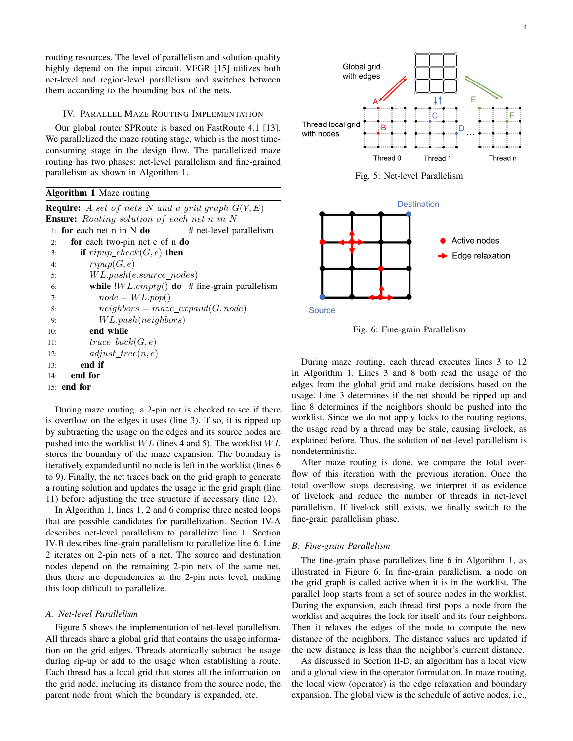routing resources. The level of parallelism and solution quality highly depend on the input circuit. VFGR [15] utilizes both net-level and region-level parallelism and switches between them according to the bounding box of the nets.

# IV. PARALLEL MAZE ROUTING IMPLEMENTATION

Our global router SPRoute is based on FastRoute 4.1 [13]. We parallelized the maze routing stage, which is the most timeconsuming stage in the design flow. The parallelized maze routing has two phases: net-level parallelism and fine-grained parallelism as shown in Algorithm 1.

# Algorithm 1 Maze routing

**Require:** A set of nets N and a grid graph  $G(V, E)$ **Ensure:** Routing solution of each net n in N 1: for each net n in N do  $#$  net-level parallelism 2: for each two-pin net e of n do 3: if  $ripup\_check(G, e)$  then 4:  $ripup(G, e)$ 5: W L.push(e.source nodes) 6: while  $|WL\text{.}empty()$  do # fine-grain parallelism 7:  $node = WL.pop()$ 8:  $neighbors = maxe\_expand(G, node)$ 9: W L.push(neighbors) 10: end while 11:  $trace\_back(G, e)$ 12:  $adjust\_tree(n, e)$ 13: end if 14: end for 15: end for

During maze routing, a 2-pin net is checked to see if there is overflow on the edges it uses (line 3). If so, it is ripped up by subtracting the usage on the edges and its source nodes are pushed into the worklist  $WL$  (lines 4 and 5). The worklist  $WL$ stores the boundary of the maze expansion. The boundary is iteratively expanded until no node is left in the worklist (lines 6 to 9). Finally, the net traces back on the grid graph to generate a routing solution and updates the usage in the grid graph (line 11) before adjusting the tree structure if necessary (line 12).

In Algorithm 1, lines 1, 2 and 6 comprise three nested loops that are possible candidates for parallelization. Section IV-A describes net-level parallelism to parallelize line 1. Section IV-B describes fine-grain parallelism to parallelize line 6. Line 2 iterates on 2-pin nets of a net. The source and destination nodes depend on the remaining 2-pin nets of the same net, thus there are dependencies at the 2-pin nets level, making this loop difficult to parallelize.

## *A. Net-level Parallelism*

Figure 5 shows the implementation of net-level parallelism. All threads share a global grid that contains the usage information on the grid edges. Threads atomically subtract the usage during rip-up or add to the usage when establishing a route. Each thread has a local grid that stores all the information on the grid node, including its distance from the source node, the parent node from which the boundary is expanded, etc.



Fig. 5: Net-level Parallelism



Fig. 6: Fine-grain Parallelism

During maze routing, each thread executes lines 3 to 12 in Algorithm 1. Lines 3 and 8 both read the usage of the edges from the global grid and make decisions based on the usage. Line 3 determines if the net should be ripped up and line 8 determines if the neighbors should be pushed into the worklist. Since we do not apply locks to the routing regions, the usage read by a thread may be stale, causing livelock, as explained before. Thus, the solution of net-level parallelism is nondeterministic.

After maze routing is done, we compare the total overflow of this iteration with the previous iteration. Once the total overflow stops decreasing, we interpret it as evidence of livelock and reduce the number of threads in net-level parallelism. If livelock still exists, we finally switch to the fine-grain parallelism phase.

# *B. Fine-grain Parallelism*

The fine-grain phase parallelizes line 6 in Algorithm 1, as illustrated in Figure 6. In fine-grain parallelism, a node on the grid graph is called active when it is in the worklist. The parallel loop starts from a set of source nodes in the worklist. During the expansion, each thread first pops a node from the worklist and acquires the lock for itself and its four neighbors. Then it relaxes the edges of the node to compute the new distance of the neighbors. The distance values are updated if the new distance is less than the neighbor's current distance.

As discussed in Section II-D, an algorithm has a local view and a global view in the operator formulation. In maze routing, the local view (operator) is the edge relaxation and boundary expansion. The global view is the schedule of active nodes, i.e.,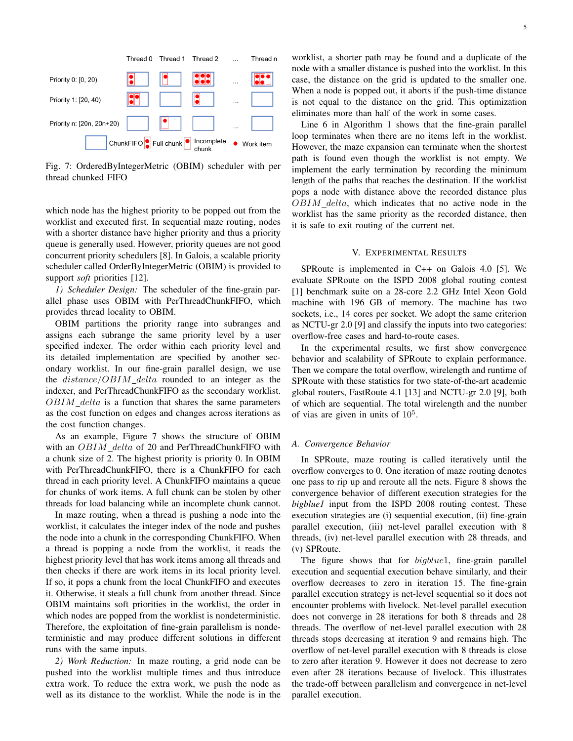

Fig. 7: OrderedByIntegerMetric (OBIM) scheduler with per thread chunked FIFO

which node has the highest priority to be popped out from the worklist and executed first. In sequential maze routing, nodes with a shorter distance have higher priority and thus a priority queue is generally used. However, priority queues are not good concurrent priority schedulers [8]. In Galois, a scalable priority scheduler called OrderByIntegerMetric (OBIM) is provided to support *soft* priorities [12].

*1) Scheduler Design:* The scheduler of the fine-grain parallel phase uses OBIM with PerThreadChunkFIFO, which provides thread locality to OBIM.

OBIM partitions the priority range into subranges and assigns each subrange the same priority level by a user specified indexer. The order within each priority level and its detailed implementation are specified by another secondary worklist. In our fine-grain parallel design, we use the  $distance/OBIM$  delta rounded to an integer as the indexer, and PerThreadChunkFIFO as the secondary worklist.  $OBIM$ <sub>-delta</sub> is a function that shares the same parameters as the cost function on edges and changes across iterations as the cost function changes.

As an example, Figure 7 shows the structure of OBIM with an  $OBIM$ <sub>-delta</sub> of 20 and PerThreadChunkFIFO with a chunk size of 2. The highest priority is priority 0. In OBIM with PerThreadChunkFIFO, there is a ChunkFIFO for each thread in each priority level. A ChunkFIFO maintains a queue for chunks of work items. A full chunk can be stolen by other threads for load balancing while an incomplete chunk cannot.

In maze routing, when a thread is pushing a node into the worklist, it calculates the integer index of the node and pushes the node into a chunk in the corresponding ChunkFIFO. When a thread is popping a node from the worklist, it reads the highest priority level that has work items among all threads and then checks if there are work items in its local priority level. If so, it pops a chunk from the local ChunkFIFO and executes it. Otherwise, it steals a full chunk from another thread. Since OBIM maintains soft priorities in the worklist, the order in which nodes are popped from the worklist is nondeterministic. Therefore, the exploitation of fine-grain parallelism is nondeterministic and may produce different solutions in different runs with the same inputs.

*2) Work Reduction:* In maze routing, a grid node can be pushed into the worklist multiple times and thus introduce extra work. To reduce the extra work, we push the node as well as its distance to the worklist. While the node is in the worklist, a shorter path may be found and a duplicate of the node with a smaller distance is pushed into the worklist. In this case, the distance on the grid is updated to the smaller one. When a node is popped out, it aborts if the push-time distance is not equal to the distance on the grid. This optimization eliminates more than half of the work in some cases.

Line 6 in Algorithm 1 shows that the fine-grain parallel loop terminates when there are no items left in the worklist. However, the maze expansion can terminate when the shortest path is found even though the worklist is not empty. We implement the early termination by recording the minimum length of the paths that reaches the destination. If the worklist pops a node with distance above the recorded distance plus  $OBIM$ <sub>-delta</sub>, which indicates that no active node in the worklist has the same priority as the recorded distance, then it is safe to exit routing of the current net.

## V. EXPERIMENTAL RESULTS

SPRoute is implemented in C++ on Galois 4.0 [5]. We evaluate SPRoute on the ISPD 2008 global routing contest [1] benchmark suite on a 28-core 2.2 GHz Intel Xeon Gold machine with 196 GB of memory. The machine has two sockets, i.e., 14 cores per socket. We adopt the same criterion as NCTU-gr 2.0 [9] and classify the inputs into two categories: overflow-free cases and hard-to-route cases.

In the experimental results, we first show convergence behavior and scalability of SPRoute to explain performance. Then we compare the total overflow, wirelength and runtime of SPRoute with these statistics for two state-of-the-art academic global routers, FastRoute 4.1 [13] and NCTU-gr 2.0 [9], both of which are sequential. The total wirelength and the number of vias are given in units of  $10<sup>5</sup>$ .

#### *A. Convergence Behavior*

In SPRoute, maze routing is called iteratively until the overflow converges to 0. One iteration of maze routing denotes one pass to rip up and reroute all the nets. Figure 8 shows the convergence behavior of different execution strategies for the *bigblue1* input from the ISPD 2008 routing contest. These execution strategies are (i) sequential execution, (ii) fine-grain parallel execution, (iii) net-level parallel execution with 8 threads, (iv) net-level parallel execution with 28 threads, and (v) SPRoute.

The figure shows that for  $bigblue1$ , fine-grain parallel execution and sequential execution behave similarly, and their overflow decreases to zero in iteration 15. The fine-grain parallel execution strategy is net-level sequential so it does not encounter problems with livelock. Net-level parallel execution does not converge in 28 iterations for both 8 threads and 28 threads. The overflow of net-level parallel execution with 28 threads stops decreasing at iteration 9 and remains high. The overflow of net-level parallel execution with 8 threads is close to zero after iteration 9. However it does not decrease to zero even after 28 iterations because of livelock. This illustrates the trade-off between parallelism and convergence in net-level parallel execution.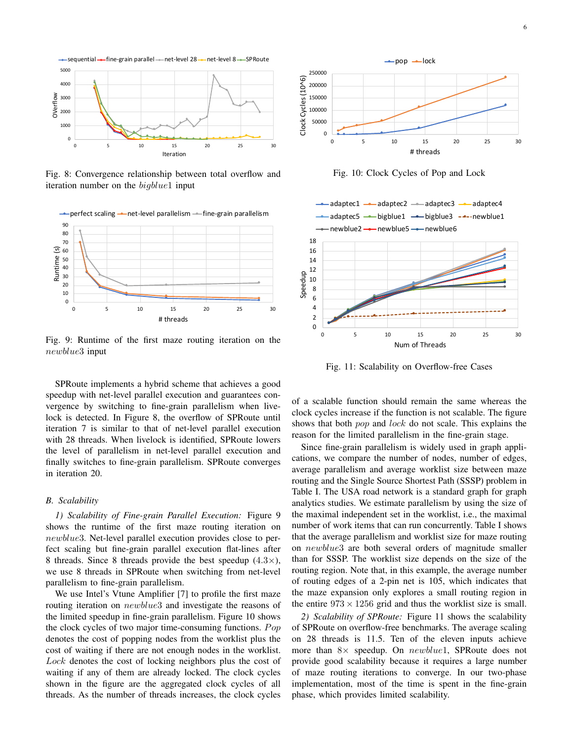

Fig. 8: Convergence relationship between total overflow and iteration number on the *bigblue1* input



Fig. 9: Runtime of the first maze routing iteration on the newblue3 input

SPRoute implements a hybrid scheme that achieves a good speedup with net-level parallel execution and guarantees convergence by switching to fine-grain parallelism when livelock is detected. In Figure 8, the overflow of SPRoute until iteration 7 is similar to that of net-level parallel execution with 28 threads. When livelock is identified, SPRoute lowers the level of parallelism in net-level parallel execution and finally switches to fine-grain parallelism. SPRoute converges in iteration 20.

#### *B. Scalability*

*1) Scalability of Fine-grain Parallel Execution:* Figure 9 shows the runtime of the first maze routing iteration on newblue3. Net-level parallel execution provides close to perfect scaling but fine-grain parallel execution flat-lines after 8 threads. Since 8 threads provide the best speedup  $(4.3\times)$ , we use 8 threads in SPRoute when switching from net-level parallelism to fine-grain parallelism.

We use Intel's Vtune Amplifier [7] to profile the first maze routing iteration on *newblue3* and investigate the reasons of the limited speedup in fine-grain parallelism. Figure 10 shows the clock cycles of two major time-consuming functions.  $Pop$ denotes the cost of popping nodes from the worklist plus the cost of waiting if there are not enough nodes in the worklist. Lock denotes the cost of locking neighbors plus the cost of waiting if any of them are already locked. The clock cycles shown in the figure are the aggregated clock cycles of all threads. As the number of threads increases, the clock cycles



Fig. 10: Clock Cycles of Pop and Lock



Fig. 11: Scalability on Overflow-free Cases

of a scalable function should remain the same whereas the clock cycles increase if the function is not scalable. The figure shows that both *pop* and *lock* do not scale. This explains the reason for the limited parallelism in the fine-grain stage.

Since fine-grain parallelism is widely used in graph applications, we compare the number of nodes, number of edges, average parallelism and average worklist size between maze routing and the Single Source Shortest Path (SSSP) problem in Table I. The USA road network is a standard graph for graph analytics studies. We estimate parallelism by using the size of the maximal independent set in the worklist, i.e., the maximal number of work items that can run concurrently. Table I shows that the average parallelism and worklist size for maze routing on newblue3 are both several orders of magnitude smaller than for SSSP. The worklist size depends on the size of the routing region. Note that, in this example, the average number of routing edges of a 2-pin net is 105, which indicates that the maze expansion only explores a small routing region in the entire  $973 \times 1256$  grid and thus the worklist size is small.

*2) Scalability of SPRoute:* Figure 11 shows the scalability of SPRoute on overflow-free benchmarks. The average scaling on 28 threads is 11.5. Ten of the eleven inputs achieve more than  $8 \times$  speedup. On newblue1, SPRoute does not provide good scalability because it requires a large number of maze routing iterations to converge. In our two-phase implementation, most of the time is spent in the fine-grain phase, which provides limited scalability.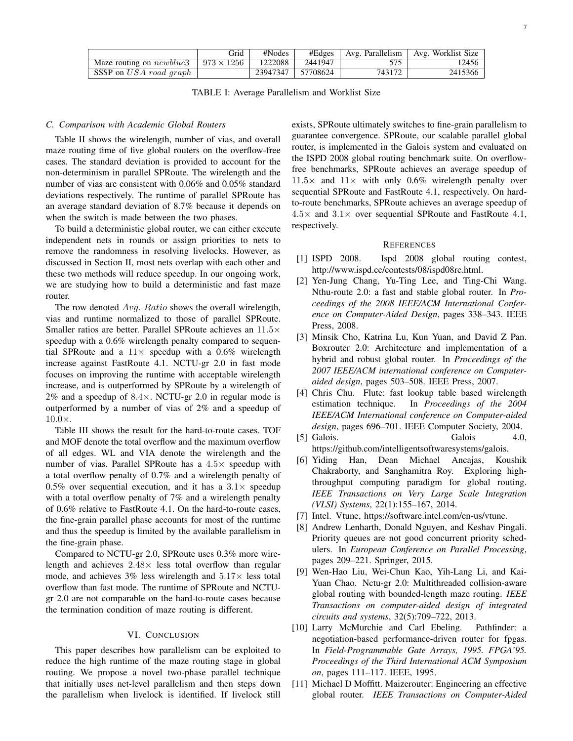|                                  | Grid              | #Nodes   | #Edges   | Avg. Parallelism | Avg. Worklist Size |
|----------------------------------|-------------------|----------|----------|------------------|--------------------|
| Maze routing on <i>newblue</i> 3 | $973 \times 1256$ | 1222088  | 2441947  | 575              | 12456              |
| SSSP on USA road graph           |                   | 23947347 | 57708624 | 743172           | 2415366            |

TABLE I: Average Parallelism and Worklist Size

#### *C. Comparison with Academic Global Routers*

Table II shows the wirelength, number of vias, and overall maze routing time of five global routers on the overflow-free cases. The standard deviation is provided to account for the non-determinism in parallel SPRoute. The wirelength and the number of vias are consistent with 0.06% and 0.05% standard deviations respectively. The runtime of parallel SPRoute has an average standard deviation of 8.7% because it depends on when the switch is made between the two phases.

To build a deterministic global router, we can either execute independent nets in rounds or assign priorities to nets to remove the randomness in resolving livelocks. However, as discussed in Section II, most nets overlap with each other and these two methods will reduce speedup. In our ongoing work, we are studying how to build a deterministic and fast maze router.

The row denoted Avg. Ratio shows the overall wirelength, vias and runtime normalized to those of parallel SPRoute. Smaller ratios are better. Parallel SPRoute achieves an 11.5× speedup with a 0.6% wirelength penalty compared to sequential SPRoute and a  $11\times$  speedup with a 0.6% wirelength increase against FastRoute 4.1. NCTU-gr 2.0 in fast mode focuses on improving the runtime with acceptable wirelength increase, and is outperformed by SPRoute by a wirelength of 2% and a speedup of  $8.4 \times$ . NCTU-gr 2.0 in regular mode is outperformed by a number of vias of 2% and a speedup of  $10.0\times$ .

Table III shows the result for the hard-to-route cases. TOF and MOF denote the total overflow and the maximum overflow of all edges. WL and VIA denote the wirelength and the number of vias. Parallel SPRoute has a  $4.5\times$  speedup with a total overflow penalty of 0.7% and a wirelength penalty of 0.5% over sequential execution, and it has a  $3.1\times$  speedup with a total overflow penalty of 7% and a wirelength penalty of 0.6% relative to FastRoute 4.1. On the hard-to-route cases, the fine-grain parallel phase accounts for most of the runtime and thus the speedup is limited by the available parallelism in the fine-grain phase.

Compared to NCTU-gr 2.0, SPRoute uses 0.3% more wirelength and achieves  $2.48\times$  less total overflow than regular mode, and achieves  $3\%$  less wirelength and  $5.17\times$  less total overflow than fast mode. The runtime of SPRoute and NCTUgr 2.0 are not comparable on the hard-to-route cases because the termination condition of maze routing is different.

## VI. CONCLUSION

This paper describes how parallelism can be exploited to reduce the high runtime of the maze routing stage in global routing. We propose a novel two-phase parallel technique that initially uses net-level parallelism and then steps down the parallelism when livelock is identified. If livelock still

exists, SPRoute ultimately switches to fine-grain parallelism to guarantee convergence. SPRoute, our scalable parallel global router, is implemented in the Galois system and evaluated on the ISPD 2008 global routing benchmark suite. On overflowfree benchmarks, SPRoute achieves an average speedup of  $11.5\times$  and  $11\times$  with only 0.6% wirelength penalty over sequential SPRoute and FastRoute 4.1, respectively. On hardto-route benchmarks, SPRoute achieves an average speedup of  $4.5\times$  and  $3.1\times$  over sequential SPRoute and FastRoute 4.1, respectively.

#### REFERENCES

- [1] ISPD 2008. Ispd 2008 global routing contest, http://www.ispd.cc/contests/08/ispd08rc.html.
- [2] Yen-Jung Chang, Yu-Ting Lee, and Ting-Chi Wang. Nthu-route 2.0: a fast and stable global router. In *Proceedings of the 2008 IEEE/ACM International Conference on Computer-Aided Design*, pages 338–343. IEEE Press, 2008.
- [3] Minsik Cho, Katrina Lu, Kun Yuan, and David Z Pan. Boxrouter 2.0: Architecture and implementation of a hybrid and robust global router. In *Proceedings of the 2007 IEEE/ACM international conference on Computeraided design*, pages 503–508. IEEE Press, 2007.
- [4] Chris Chu. Flute: fast lookup table based wirelength estimation technique. In *Proceedings of the 2004 IEEE/ACM International conference on Computer-aided design*, pages 696–701. IEEE Computer Society, 2004.
- [5] Galois. Galois 4.0, https://github.com/intelligentsoftwaresystems/galois.
- [6] Yiding Han, Dean Michael Ancajas, Koushik Chakraborty, and Sanghamitra Roy. Exploring highthroughput computing paradigm for global routing. *IEEE Transactions on Very Large Scale Integration (VLSI) Systems*, 22(1):155–167, 2014.
- [7] Intel. Vtune, https://software.intel.com/en-us/vtune.
- [8] Andrew Lenharth, Donald Nguyen, and Keshav Pingali. Priority queues are not good concurrent priority schedulers. In *European Conference on Parallel Processing*, pages 209–221. Springer, 2015.
- [9] Wen-Hao Liu, Wei-Chun Kao, Yih-Lang Li, and Kai-Yuan Chao. Nctu-gr 2.0: Multithreaded collision-aware global routing with bounded-length maze routing. *IEEE Transactions on computer-aided design of integrated circuits and systems*, 32(5):709–722, 2013.
- [10] Larry McMurchie and Carl Ebeling. Pathfinder: a negotiation-based performance-driven router for fpgas. In *Field-Programmable Gate Arrays, 1995. FPGA'95. Proceedings of the Third International ACM Symposium on*, pages 111–117. IEEE, 1995.
- [11] Michael D Moffitt. Maizerouter: Engineering an effective global router. *IEEE Transactions on Computer-Aided*